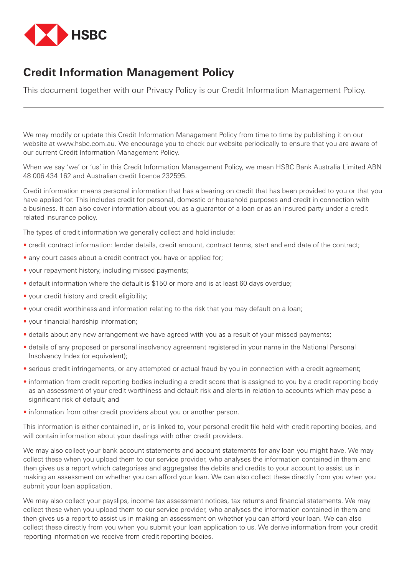

## **Credit Information Management Policy**

This document together with our Privacy Policy is our Credit Information Management Policy.

We may modify or update this Credit Information Management Policy from time to time by publishing it on our website at www.hsbc.com.au. We encourage you to check our website periodically to ensure that you are aware of our current Credit Information Management Policy.

When we say 'we' or 'us' in this Credit Information Management Policy, we mean HSBC Bank Australia Limited ABN 48 006 434 162 and Australian credit licence 232595.

Credit information means personal information that has a bearing on credit that has been provided to you or that you have applied for. This includes credit for personal, domestic or household purposes and credit in connection with a business. It can also cover information about you as a guarantor of a loan or as an insured party under a credit related insurance policy.

The types of credit information we generally collect and hold include:

- credit contract information: lender details, credit amount, contract terms, start and end date of the contract;
- any court cases about a credit contract you have or applied for;
- your repayment history, including missed payments;
- default information where the default is \$150 or more and is at least 60 days overdue;
- your credit history and credit eligibility;
- your credit worthiness and information relating to the risk that you may default on a loan;
- your financial hardship information;
- details about any new arrangement we have agreed with you as a result of your missed payments;
- details of any proposed or personal insolvency agreement registered in your name in the National Personal Insolvency Index (or equivalent);
- serious credit infringements, or any attempted or actual fraud by you in connection with a credit agreement;
- information from credit reporting bodies including a credit score that is assigned to you by a credit reporting body as an assessment of your credit worthiness and default risk and alerts in relation to accounts which may pose a significant risk of default; and
- information from other credit providers about you or another person.

This information is either contained in, or is linked to, your personal credit file held with credit reporting bodies, and will contain information about your dealings with other credit providers.

We may also collect your bank account statements and account statements for any loan you might have. We may collect these when you upload them to our service provider, who analyses the information contained in them and then gives us a report which categorises and aggregates the debits and credits to your account to assist us in making an assessment on whether you can afford your loan. We can also collect these directly from you when you submit your loan application.

We may also collect your payslips, income tax assessment notices, tax returns and financial statements. We may collect these when you upload them to our service provider, who analyses the information contained in them and then gives us a report to assist us in making an assessment on whether you can afford your loan. We can also collect these directly from you when you submit your loan application to us. We derive information from your credit reporting information we receive from credit reporting bodies.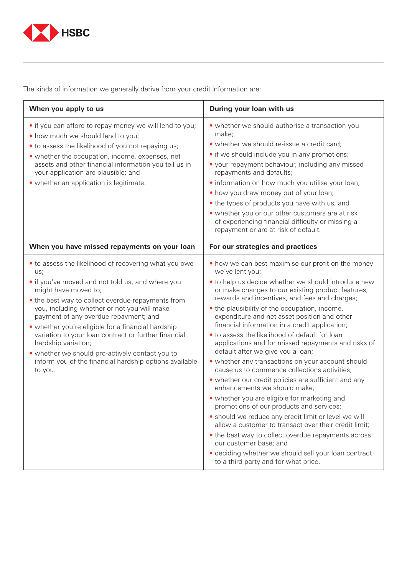

The kinds of information we generally derive from your credit information are:

| When you apply to us                                                                                                                                                                                                                                                                                                                                                                                                                                                                                                                               | During your loan with us                                                                                                                                                                                                                                                                                                                                                                                                                                                                                                                                                                                                                                                                                                                                                                                                                                                                                                                                                                                                                                                                                                       |
|----------------------------------------------------------------------------------------------------------------------------------------------------------------------------------------------------------------------------------------------------------------------------------------------------------------------------------------------------------------------------------------------------------------------------------------------------------------------------------------------------------------------------------------------------|--------------------------------------------------------------------------------------------------------------------------------------------------------------------------------------------------------------------------------------------------------------------------------------------------------------------------------------------------------------------------------------------------------------------------------------------------------------------------------------------------------------------------------------------------------------------------------------------------------------------------------------------------------------------------------------------------------------------------------------------------------------------------------------------------------------------------------------------------------------------------------------------------------------------------------------------------------------------------------------------------------------------------------------------------------------------------------------------------------------------------------|
| • if you can afford to repay money we will lend to you;<br>• how much we should lend to you;<br>• to assess the likelihood of you not repaying us;<br>• whether the occupation, income, expenses, net<br>assets and other financial information you tell us in<br>your application are plausible; and<br>• whether an application is legitimate.                                                                                                                                                                                                   | • whether we should authorise a transaction you<br>make;<br>• whether we should re-issue a credit card;<br>• if we should include you in any promotions;<br>• your repayment behaviour, including any missed<br>repayments and defaults;<br>· information on how much you utilise your loan;<br>• how you draw money out of your loan;<br>• the types of products you have with us; and<br>• whether you or our other customers are at risk<br>of experiencing financial difficulty or missing a<br>repayment or are at risk of default.                                                                                                                                                                                                                                                                                                                                                                                                                                                                                                                                                                                       |
| When you have missed repayments on your loan                                                                                                                                                                                                                                                                                                                                                                                                                                                                                                       | For our strategies and practices                                                                                                                                                                                                                                                                                                                                                                                                                                                                                                                                                                                                                                                                                                                                                                                                                                                                                                                                                                                                                                                                                               |
| • to assess the likelihood of recovering what you owe<br>us;<br>• if you've moved and not told us, and where you<br>might have moved to;<br>• the best way to collect overdue repayments from<br>you, including whether or not you will make<br>payment of any overdue repayment; and<br>• whether you're eligible for a financial hardship<br>variation to your loan contract or further financial<br>hardship variation;<br>• whether we should pro-actively contact you to<br>inform you of the financial hardship options available<br>to you. | • how we can best maximise our profit on the money<br>we've lent you;<br>• to help us decide whether we should introduce new<br>or make changes to our existing product features,<br>rewards and incentives, and fees and charges;<br>• the plausibility of the occupation, income,<br>expenditure and net asset position and other<br>financial information in a credit application;<br>. to assess the likelihood of default for loan<br>applications and for missed repayments and risks of<br>default after we give you a loan;<br>• whether any transactions on your account should<br>cause us to commence collections activities;<br>• whether our credit policies are sufficient and any<br>enhancements we should make;<br>• whether you are eligible for marketing and<br>promotions of our products and services;<br>• should we reduce any credit limit or level we will<br>allow a customer to transact over their credit limit;<br>• the best way to collect overdue repayments across<br>our customer base; and<br>· deciding whether we should sell your loan contract<br>to a third party and for what price. |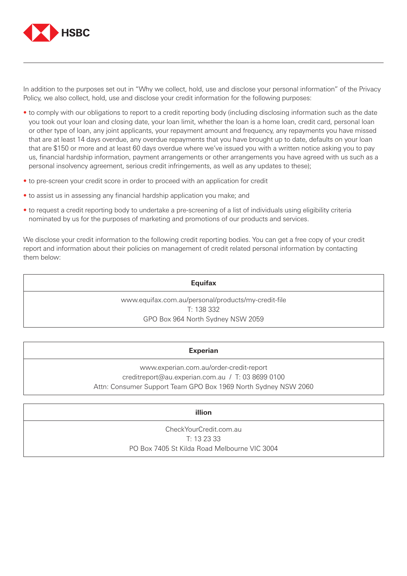

In addition to the purposes set out in "Why we collect, hold, use and disclose your personal information" of the Privacy Policy, we also collect, hold, use and disclose your credit information for the following purposes:

- to comply with our obligations to report to a credit reporting body (including disclosing information such as the date you took out your loan and closing date, your loan limit, whether the loan is a home loan, credit card, personal loan or other type of loan, any joint applicants, your repayment amount and frequency, any repayments you have missed that are at least 14 days overdue, any overdue repayments that you have brought up to date, defaults on your loan that are \$150 or more and at least 60 days overdue where we've issued you with a written notice asking you to pay us, financial hardship information, payment arrangements or other arrangements you have agreed with us such as a personal insolvency agreement, serious credit infringements, as well as any updates to these);
- to pre-screen your credit score in order to proceed with an application for credit
- to assist us in assessing any financial hardship application you make; and
- to request a credit reporting body to undertake a pre-screening of a list of individuals using eligibility criteria nominated by us for the purposes of marketing and promotions of our products and services.

We disclose your credit information to the following credit reporting bodies. You can get a free copy of your credit report and information about their policies on management of credit related personal information by contacting them below:

**Equifax**

www.equifax.com.au/personal/products/my-credit-file T: 138 332 GPO Box 964 North Sydney NSW 2059

## **Experian**

www.experian.com.au/order-credit-report creditreport@au.experian.com.au / T: 03 8699 0100 Attn: Consumer Support Team GPO Box 1969 North Sydney NSW 2060

## **illion**

CheckYourCredit.com.au T: 13 23 33 PO Box 7405 St Kilda Road Melbourne VIC 3004